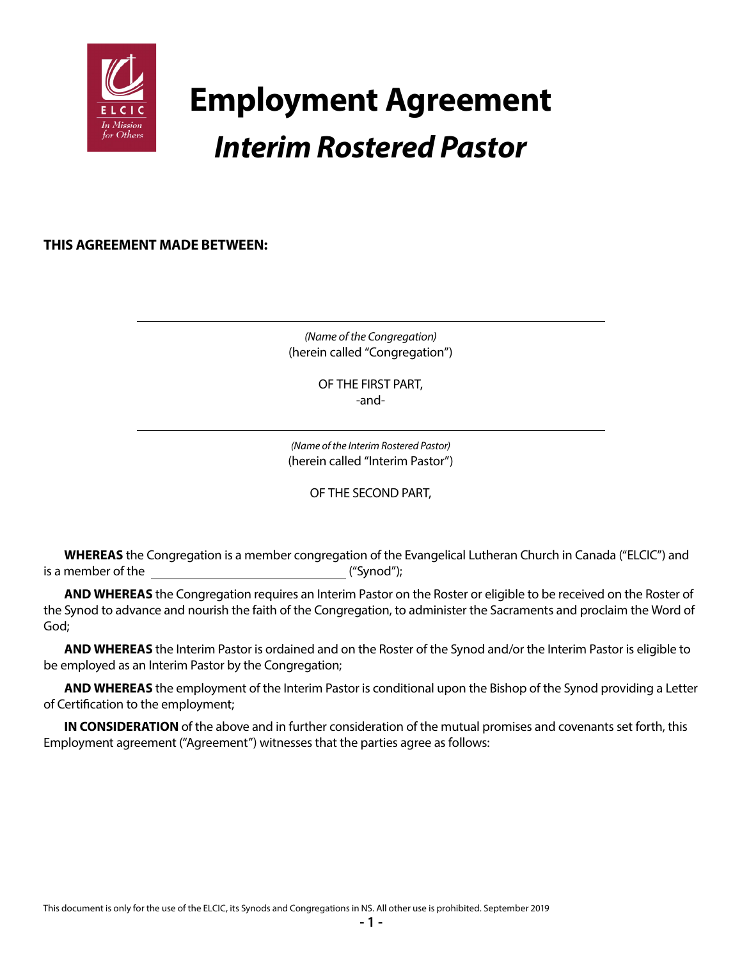

# **Employment Agreement** *Interim Rostered Pastor*

**THIS AGREEMENT MADE BETWEEN:**

*(Name of the Congregation)* (herein called "Congregation")

> OF THE FIRST PART, -and-

*(Name of the Interim Rostered Pastor)* (herein called "Interim Pastor")

OF THE SECOND PART,

**WHEREAS** the Congregation is a member congregation of the Evangelical Lutheran Church in Canada ("ELCIC") and is a member of the ("Synod");

**AND WHEREAS** the Congregation requires an Interim Pastor on the Roster or eligible to be received on the Roster of the Synod to advance and nourish the faith of the Congregation, to administer the Sacraments and proclaim the Word of God;

**AND WHEREAS** the Interim Pastor is ordained and on the Roster of the Synod and/or the Interim Pastor is eligible to be employed as an Interim Pastor by the Congregation;

**AND WHEREAS** the employment of the Interim Pastor is conditional upon the Bishop of the Synod providing a Letter of Certification to the employment;

**IN CONSIDERATION** of the above and in further consideration of the mutual promises and covenants set forth, this Employment agreement ("Agreement") witnesses that the parties agree as follows: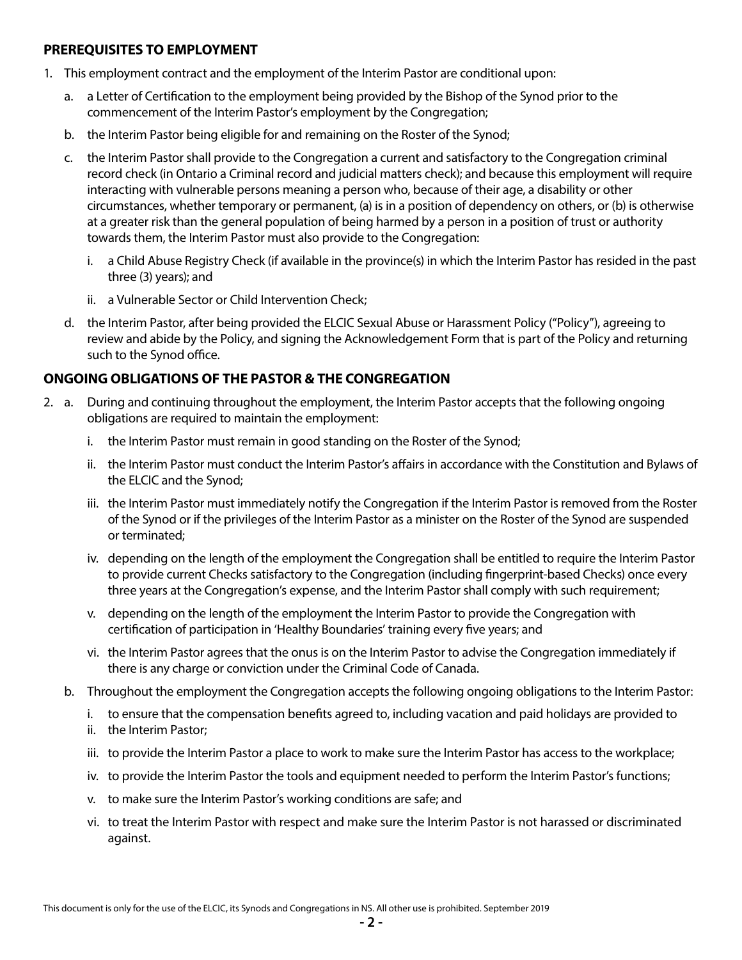#### **PREREQUISITES TO EMPLOYMENT**

- 1. This employment contract and the employment of the Interim Pastor are conditional upon:
	- a. a Letter of Certification to the employment being provided by the Bishop of the Synod prior to the commencement of the Interim Pastor's employment by the Congregation;
	- b. the Interim Pastor being eligible for and remaining on the Roster of the Synod;
	- c. the Interim Pastor shall provide to the Congregation a current and satisfactory to the Congregation criminal record check (in Ontario a Criminal record and judicial matters check); and because this employment will require interacting with vulnerable persons meaning a person who, because of their age, a disability or other circumstances, whether temporary or permanent, (a) is in a position of dependency on others, or (b) is otherwise at a greater risk than the general population of being harmed by a person in a position of trust or authority towards them, the Interim Pastor must also provide to the Congregation:
		- i. a Child Abuse Registry Check (if available in the province(s) in which the Interim Pastor has resided in the past three (3) years); and
		- ii. a Vulnerable Sector or Child Intervention Check;
	- d. the Interim Pastor, after being provided the ELCIC Sexual Abuse or Harassment Policy ("Policy"), agreeing to review and abide by the Policy, and signing the Acknowledgement Form that is part of the Policy and returning such to the Synod office.

# **ONGOING OBLIGATIONS OF THE PASTOR & THE CONGREGATION**

- 2. a. During and continuing throughout the employment, the Interim Pastor accepts that the following ongoing obligations are required to maintain the employment:
	- i. the Interim Pastor must remain in good standing on the Roster of the Synod;
	- ii. the Interim Pastor must conduct the Interim Pastor's affairs in accordance with the Constitution and Bylaws of the ELCIC and the Synod;
	- iii. the Interim Pastor must immediately notify the Congregation if the Interim Pastor is removed from the Roster of the Synod or if the privileges of the Interim Pastor as a minister on the Roster of the Synod are suspended or terminated;
	- iv. depending on the length of the employment the Congregation shall be entitled to require the Interim Pastor to provide current Checks satisfactory to the Congregation (including fingerprint-based Checks) once every three years at the Congregation's expense, and the Interim Pastor shall comply with such requirement;
	- v. depending on the length of the employment the Interim Pastor to provide the Congregation with certification of participation in 'Healthy Boundaries' training every five years; and
	- vi. the Interim Pastor agrees that the onus is on the Interim Pastor to advise the Congregation immediately if there is any charge or conviction under the Criminal Code of Canada.
	- b. Throughout the employment the Congregation accepts the following ongoing obligations to the Interim Pastor:
		- i. to ensure that the compensation benefits agreed to, including vacation and paid holidays are provided to
		- ii. the Interim Pastor;
		- iii. to provide the Interim Pastor a place to work to make sure the Interim Pastor has access to the workplace;
		- iv. to provide the Interim Pastor the tools and equipment needed to perform the Interim Pastor's functions;
		- v. to make sure the Interim Pastor's working conditions are safe; and
		- vi. to treat the Interim Pastor with respect and make sure the Interim Pastor is not harassed or discriminated against.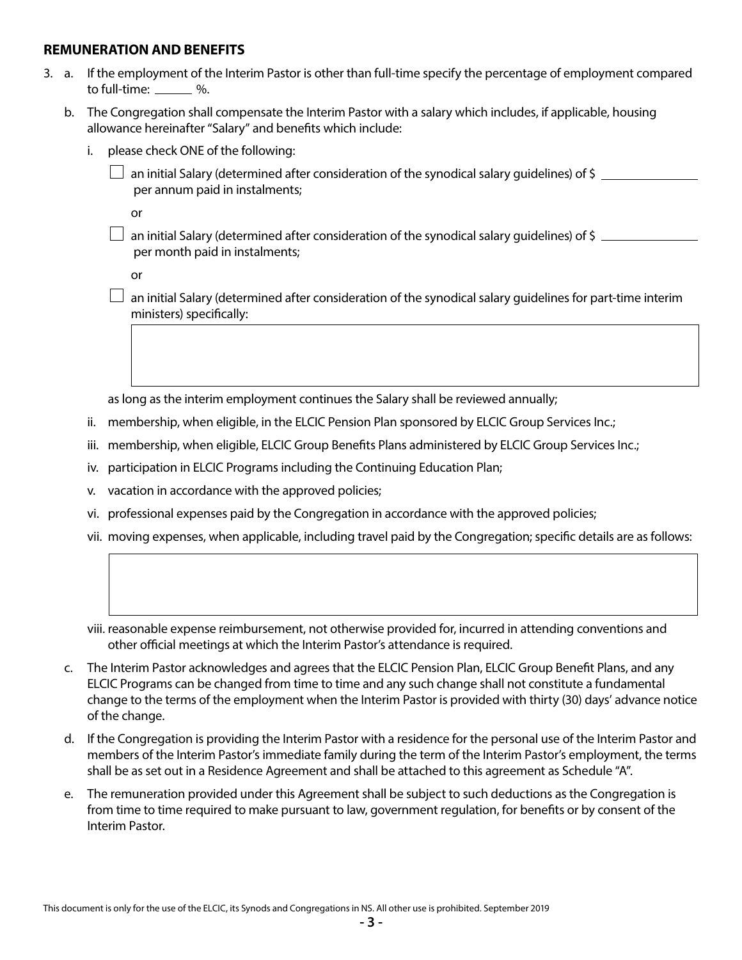#### **REMUNERATION AND BENEFITS**

- 3. a. If the employment of the Interim Pastor is other than full-time specify the percentage of employment compared to full-time:  $\frac{1}{2}$ %.
	- b. The Congregation shall compensate the Interim Pastor with a salary which includes, if applicable, housing allowance hereinafter "Salary" and benefits which include:
		- i. please check ONE of the following:
			- an initial Salary (determined after consideration of the synodical salary quidelines) of \$ per annum paid in instalments;

or

 $\Box$  an initial Salary (determined after consideration of the synodical salary quidelines) of \$  $\Box$ per month paid in instalments;

or

 $\Box$  an initial Salary (determined after consideration of the synodical salary guidelines for part-time interim ministers) specifically:

as long as the interim employment continues the Salary shall be reviewed annually;

- ii. membership, when eligible, in the ELCIC Pension Plan sponsored by ELCIC Group Services Inc.;
- iii. membership, when eligible, ELCIC Group Benefits Plans administered by ELCIC Group Services Inc.;
- iv. participation in ELCIC Programs including the Continuing Education Plan;
- v. vacation in accordance with the approved policies;
- vi. professional expenses paid by the Congregation in accordance with the approved policies;
- vii. moving expenses, when applicable, including travel paid by the Congregation; specific details are as follows:
- viii. reasonable expense reimbursement, not otherwise provided for, incurred in attending conventions and other official meetings at which the Interim Pastor's attendance is required.
- c. The Interim Pastor acknowledges and agrees that the ELCIC Pension Plan, ELCIC Group Benefit Plans, and any ELCIC Programs can be changed from time to time and any such change shall not constitute a fundamental change to the terms of the employment when the Interim Pastor is provided with thirty (30) days' advance notice of the change.
- d. If the Congregation is providing the Interim Pastor with a residence for the personal use of the Interim Pastor and members of the Interim Pastor's immediate family during the term of the Interim Pastor's employment, the terms shall be as set out in a Residence Agreement and shall be attached to this agreement as Schedule "A".
- e. The remuneration provided under this Agreement shall be subject to such deductions as the Congregation is from time to time required to make pursuant to law, government regulation, for benefits or by consent of the Interim Pastor.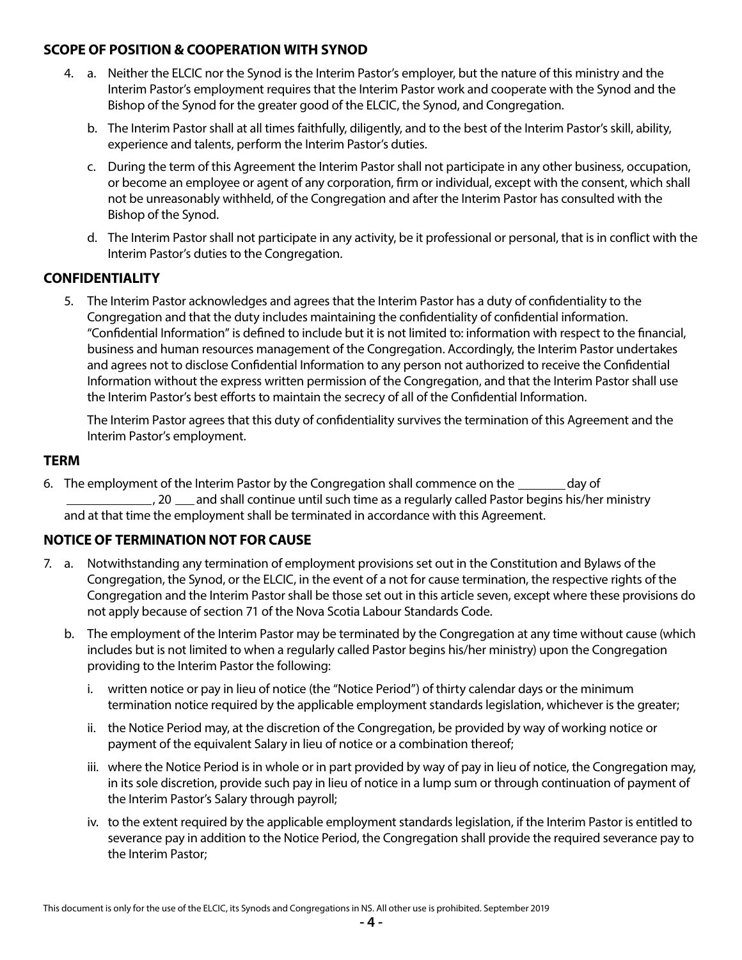## **SCOPE OF POSITION & COOPERATION WITH SYNOD**

- 4. a. Neither the ELCIC nor the Synod is the Interim Pastor's employer, but the nature of this ministry and the Interim Pastor's employment requires that the Interim Pastor work and cooperate with the Synod and the Bishop of the Synod for the greater good of the ELCIC, the Synod, and Congregation.
	- b. The Interim Pastor shall at all times faithfully, diligently, and to the best of the Interim Pastor's skill, ability, experience and talents, perform the Interim Pastor's duties.
	- c. During the term of this Agreement the Interim Pastor shall not participate in any other business, occupation, or become an employee or agent of any corporation, firm or individual, except with the consent, which shall not be unreasonably withheld, of the Congregation and after the Interim Pastor has consulted with the Bishop of the Synod.
	- d. The Interim Pastor shall not participate in any activity, be it professional or personal, that is in conflict with the Interim Pastor's duties to the Congregation.

## **CONFIDENTIALITY**

5. The Interim Pastor acknowledges and agrees that the Interim Pastor has a duty of confidentiality to the Congregation and that the duty includes maintaining the confidentiality of confidential information. "Confidential Information" is defined to include but it is not limited to: information with respect to the financial, business and human resources management of the Congregation. Accordingly, the Interim Pastor undertakes and agrees not to disclose Confidential Information to any person not authorized to receive the Confidential Information without the express written permission of the Congregation, and that the Interim Pastor shall use the Interim Pastor's best efforts to maintain the secrecy of all of the Confidential Information.

 The Interim Pastor agrees that this duty of confidentiality survives the termination of this Agreement and the Interim Pastor's employment.

#### **TERM**

6. The employment of the Interim Pastor by the Congregation shall commence on the <u>second</u> bay of <sub>-</sub>, 20 <sub>cana</sub> and shall continue until such time as a regularly called Pastor begins his/her ministry and at that time the employment shall be terminated in accordance with this Agreement.

# **NOTICE OF TERMINATION NOT FOR CAUSE**

- 7. a. Notwithstanding any termination of employment provisions set out in the Constitution and Bylaws of the Congregation, the Synod, or the ELCIC, in the event of a not for cause termination, the respective rights of the Congregation and the Interim Pastor shall be those set out in this article seven, except where these provisions do not apply because of section 71 of the Nova Scotia Labour Standards Code.
	- b. The employment of the Interim Pastor may be terminated by the Congregation at any time without cause (which includes but is not limited to when a regularly called Pastor begins his/her ministry) upon the Congregation providing to the Interim Pastor the following:
		- i. written notice or pay in lieu of notice (the "Notice Period") of thirty calendar days or the minimum termination notice required by the applicable employment standards legislation, whichever is the greater;
		- ii. the Notice Period may, at the discretion of the Congregation, be provided by way of working notice or payment of the equivalent Salary in lieu of notice or a combination thereof;
		- iii. where the Notice Period is in whole or in part provided by way of pay in lieu of notice, the Congregation may, in its sole discretion, provide such pay in lieu of notice in a lump sum or through continuation of payment of the Interim Pastor's Salary through payroll;
		- iv. to the extent required by the applicable employment standards legislation, if the Interim Pastor is entitled to severance pay in addition to the Notice Period, the Congregation shall provide the required severance pay to the Interim Pastor;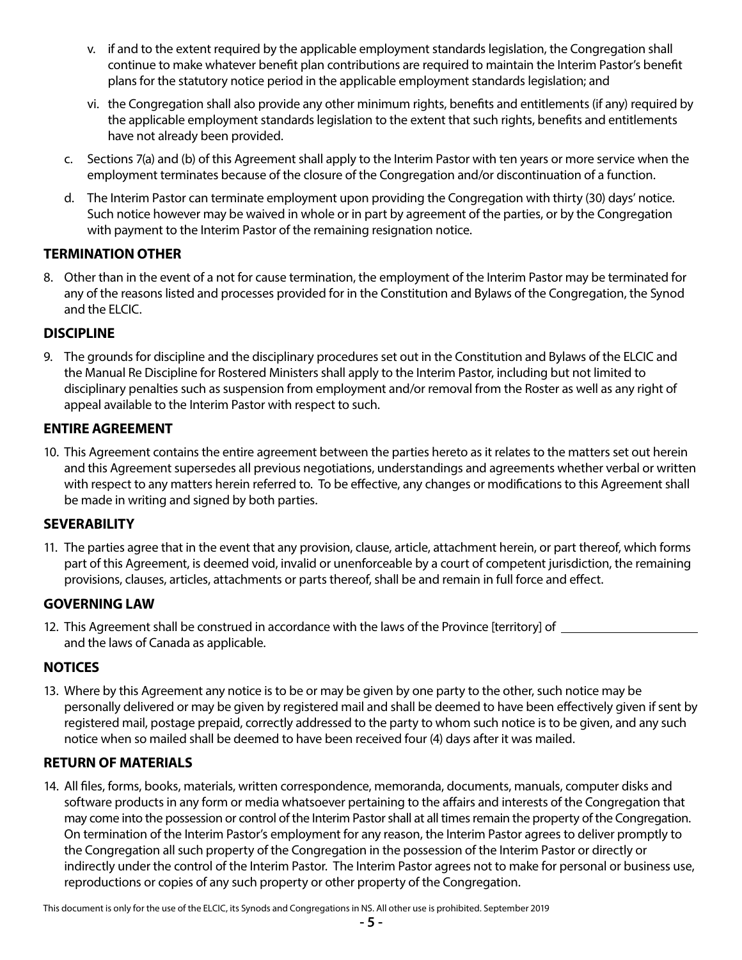- v. if and to the extent required by the applicable employment standards legislation, the Congregation shall continue to make whatever benefit plan contributions are required to maintain the Interim Pastor's benefit plans for the statutory notice period in the applicable employment standards legislation; and
- vi. the Congregation shall also provide any other minimum rights, benefits and entitlements (if any) required by the applicable employment standards legislation to the extent that such rights, benefits and entitlements have not already been provided.
- c. Sections 7(a) and (b) of this Agreement shall apply to the Interim Pastor with ten years or more service when the employment terminates because of the closure of the Congregation and/or discontinuation of a function.
- d. The Interim Pastor can terminate employment upon providing the Congregation with thirty (30) days' notice. Such notice however may be waived in whole or in part by agreement of the parties, or by the Congregation with payment to the Interim Pastor of the remaining resignation notice.

# **TERMINATION OTHER**

8. Other than in the event of a not for cause termination, the employment of the Interim Pastor may be terminated for any of the reasons listed and processes provided for in the Constitution and Bylaws of the Congregation, the Synod and the ELCIC.

# **DISCIPLINE**

9. The grounds for discipline and the disciplinary procedures set out in the Constitution and Bylaws of the ELCIC and the Manual Re Discipline for Rostered Ministers shall apply to the Interim Pastor, including but not limited to disciplinary penalties such as suspension from employment and/or removal from the Roster as well as any right of appeal available to the Interim Pastor with respect to such.

# **ENTIRE AGREEMENT**

10. This Agreement contains the entire agreement between the parties hereto as it relates to the matters set out herein and this Agreement supersedes all previous negotiations, understandings and agreements whether verbal or written with respect to any matters herein referred to. To be effective, any changes or modifications to this Agreement shall be made in writing and signed by both parties.

# **SEVERABILITY**

11. The parties agree that in the event that any provision, clause, article, attachment herein, or part thereof, which forms part of this Agreement, is deemed void, invalid or unenforceable by a court of competent jurisdiction, the remaining provisions, clauses, articles, attachments or parts thereof, shall be and remain in full force and effect.

# **GOVERNING LAW**

12. This Agreement shall be construed in accordance with the laws of the Province [territory] of and the laws of Canada as applicable.

# **NOTICES**

13. Where by this Agreement any notice is to be or may be given by one party to the other, such notice may be personally delivered or may be given by registered mail and shall be deemed to have been effectively given if sent by registered mail, postage prepaid, correctly addressed to the party to whom such notice is to be given, and any such notice when so mailed shall be deemed to have been received four (4) days after it was mailed.

# **RETURN OF MATERIALS**

14. All files, forms, books, materials, written correspondence, memoranda, documents, manuals, computer disks and software products in any form or media whatsoever pertaining to the affairs and interests of the Congregation that may come into the possession or control of the Interim Pastor shall at all times remain the property of the Congregation. On termination of the Interim Pastor's employment for any reason, the Interim Pastor agrees to deliver promptly to the Congregation all such property of the Congregation in the possession of the Interim Pastor or directly or indirectly under the control of the Interim Pastor. The Interim Pastor agrees not to make for personal or business use, reproductions or copies of any such property or other property of the Congregation.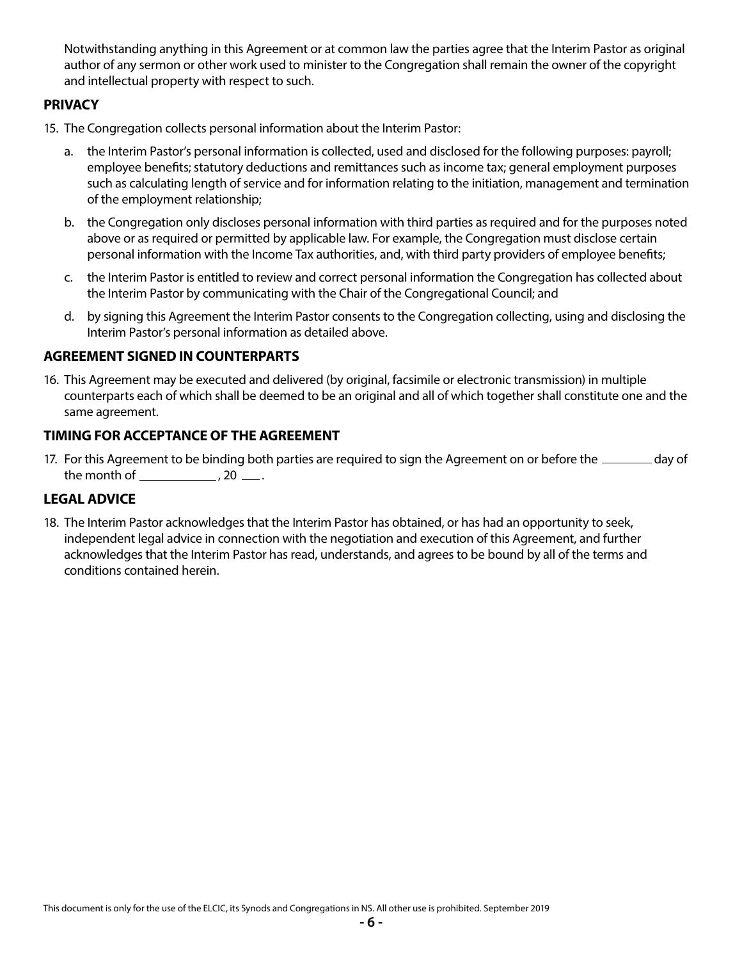Notwithstanding anything in this Agreement or at common law the parties agree that the Interim Pastor as original author of any sermon or other work used to minister to the Congregation shall remain the owner of the copyright and intellectual property with respect to such.

## **PRIVACY**

- 15. The Congregation collects personal information about the Interim Pastor:
	- a. the Interim Pastor's personal information is collected, used and disclosed for the following purposes: payroll; employee benefits; statutory deductions and remittances such as income tax; general employment purposes such as calculating length of service and for information relating to the initiation, management and termination of the employment relationship;
	- b. the Congregation only discloses personal information with third parties as required and for the purposes noted above or as required or permitted by applicable law. For example, the Congregation must disclose certain personal information with the Income Tax authorities, and, with third party providers of employee benefits;
	- c. the Interim Pastor is entitled to review and correct personal information the Congregation has collected about the Interim Pastor by communicating with the Chair of the Congregational Council; and
	- d. by signing this Agreement the Interim Pastor consents to the Congregation collecting, using and disclosing the Interim Pastor's personal information as detailed above.

#### **AGREEMENT SIGNED IN COUNTERPARTS**

16. This Agreement may be executed and delivered (by original, facsimile or electronic transmission) in multiple counterparts each of which shall be deemed to be an original and all of which together shall constitute one and the same agreement.

#### **TIMING FOR ACCEPTANCE OF THE AGREEMENT**

17. For this Agreement to be binding both parties are required to sign the Agreement on or before the **suce and a** day of the month of  $\frac{1}{2}$ , 20  $\frac{1}{2}$ .

# **LEGAL ADVICE**

18. The Interim Pastor acknowledges that the Interim Pastor has obtained, or has had an opportunity to seek, independent legal advice in connection with the negotiation and execution of this Agreement, and further acknowledges that the Interim Pastor has read, understands, and agrees to be bound by all of the terms and conditions contained herein.